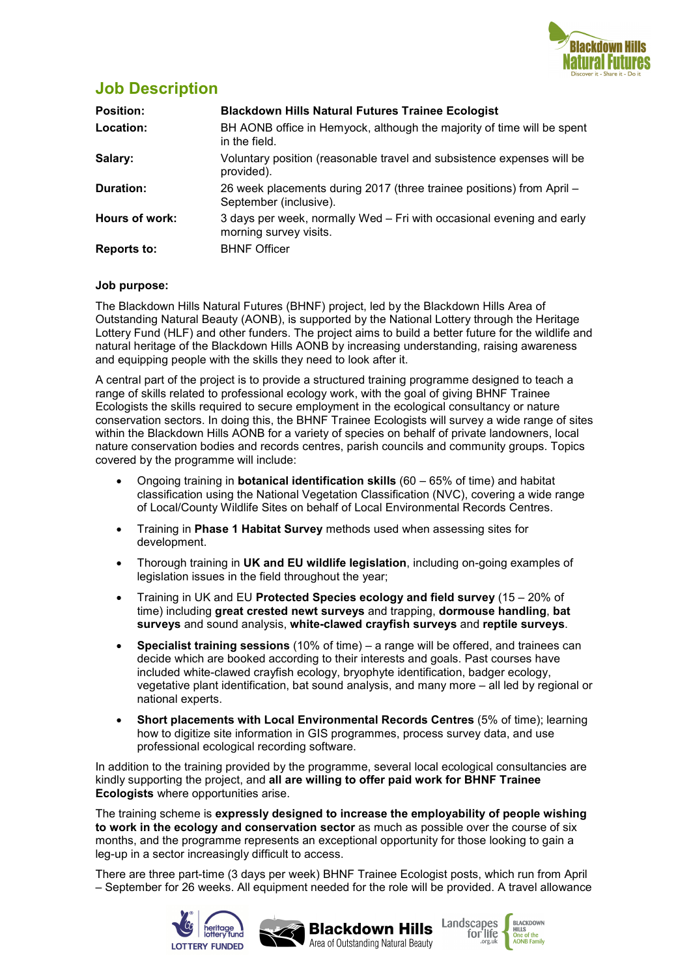

### **Job Description**

| <b>Position:</b>   | <b>Blackdown Hills Natural Futures Trainee Ecologist</b>                                        |  |
|--------------------|-------------------------------------------------------------------------------------------------|--|
| Location:          | BH AONB office in Hemyock, although the majority of time will be spent<br>in the field.         |  |
| Salary:            | Voluntary position (reasonable travel and subsistence expenses will be<br>provided).            |  |
| Duration:          | 26 week placements during 2017 (three trainee positions) from April -<br>September (inclusive). |  |
| Hours of work:     | 3 days per week, normally Wed – Fri with occasional evening and early<br>morning survey visits. |  |
| <b>Reports to:</b> | <b>BHNF Officer</b>                                                                             |  |

### **Job purpose:**

The Blackdown Hills Natural Futures (BHNF) project, led by the Blackdown Hills Area of Outstanding Natural Beauty (AONB), is supported by the National Lottery through the Heritage Lottery Fund (HLF) and other funders. The project aims to build a better future for the wildlife and natural heritage of the Blackdown Hills AONB by increasing understanding, raising awareness and equipping people with the skills they need to look after it.

A central part of the project is to provide a structured training programme designed to teach a range of skills related to professional ecology work, with the goal of giving BHNF Trainee Ecologists the skills required to secure employment in the ecological consultancy or nature conservation sectors. In doing this, the BHNF Trainee Ecologists will survey a wide range of sites within the Blackdown Hills AONB for a variety of species on behalf of private landowners, local nature conservation bodies and records centres, parish councils and community groups. Topics covered by the programme will include:

- Ongoing training in **botanical identification skills** (60 65% of time) and habitat classification using the National Vegetation Classification (NVC), covering a wide range of Local/County Wildlife Sites on behalf of Local Environmental Records Centres.
- Training in **Phase 1 Habitat Survey** methods used when assessing sites for development.
- Thorough training in **UK and EU wildlife legislation**, including on-going examples of legislation issues in the field throughout the year;
- Training in UK and EU **Protected Species ecology and field survey** (15 20% of time) including **great crested newt surveys** and trapping, **dormouse handling**, **bat surveys** and sound analysis, **white-clawed crayfish surveys** and **reptile surveys**.
- **Specialist training sessions** (10% of time) a range will be offered, and trainees can decide which are booked according to their interests and goals. Past courses have included white-clawed crayfish ecology, bryophyte identification, badger ecology, vegetative plant identification, bat sound analysis, and many more – all led by regional or national experts.
- **Short placements with Local Environmental Records Centres** (5% of time); learning how to digitize site information in GIS programmes, process survey data, and use professional ecological recording software.

In addition to the training provided by the programme, several local ecological consultancies are kindly supporting the project, and **all are willing to offer paid work for BHNF Trainee Ecologists** where opportunities arise.

The training scheme is **expressly designed to increase the employability of people wishing to work in the ecology and conservation sector** as much as possible over the course of six months, and the programme represents an exceptional opportunity for those looking to gain a leg-up in a sector increasingly difficult to access.

There are three part-time (3 days per week) BHNF Trainee Ecologist posts, which run from April – September for 26 weeks. All equipment needed for the role will be provided. A travel allowance

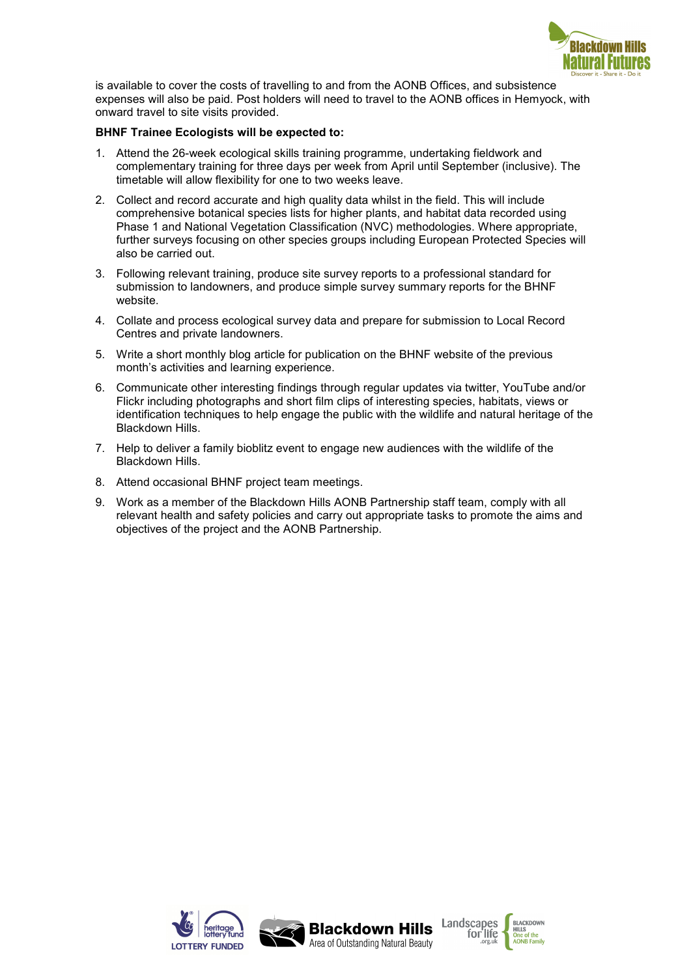

is available to cover the costs of travelling to and from the AONB Offices, and subsistence expenses will also be paid. Post holders will need to travel to the AONB offices in Hemyock, with onward travel to site visits provided.

#### **BHNF Trainee Ecologists will be expected to:**

- 1. Attend the 26-week ecological skills training programme, undertaking fieldwork and complementary training for three days per week from April until September (inclusive). The timetable will allow flexibility for one to two weeks leave.
- 2. Collect and record accurate and high quality data whilst in the field. This will include comprehensive botanical species lists for higher plants, and habitat data recorded using Phase 1 and National Vegetation Classification (NVC) methodologies. Where appropriate, further surveys focusing on other species groups including European Protected Species will also be carried out.
- 3. Following relevant training, produce site survey reports to a professional standard for submission to landowners, and produce simple survey summary reports for the BHNF website.
- 4. Collate and process ecological survey data and prepare for submission to Local Record Centres and private landowners.
- 5. Write a short monthly blog article for publication on the BHNF website of the previous month's activities and learning experience.
- 6. Communicate other interesting findings through regular updates via twitter, YouTube and/or Flickr including photographs and short film clips of interesting species, habitats, views or identification techniques to help engage the public with the wildlife and natural heritage of the Blackdown Hills.
- 7. Help to deliver a family bioblitz event to engage new audiences with the wildlife of the Blackdown Hills.
- 8. Attend occasional BHNF project team meetings.
- 9. Work as a member of the Blackdown Hills AONB Partnership staff team, comply with all relevant health and safety policies and carry out appropriate tasks to promote the aims and objectives of the project and the AONB Partnership.

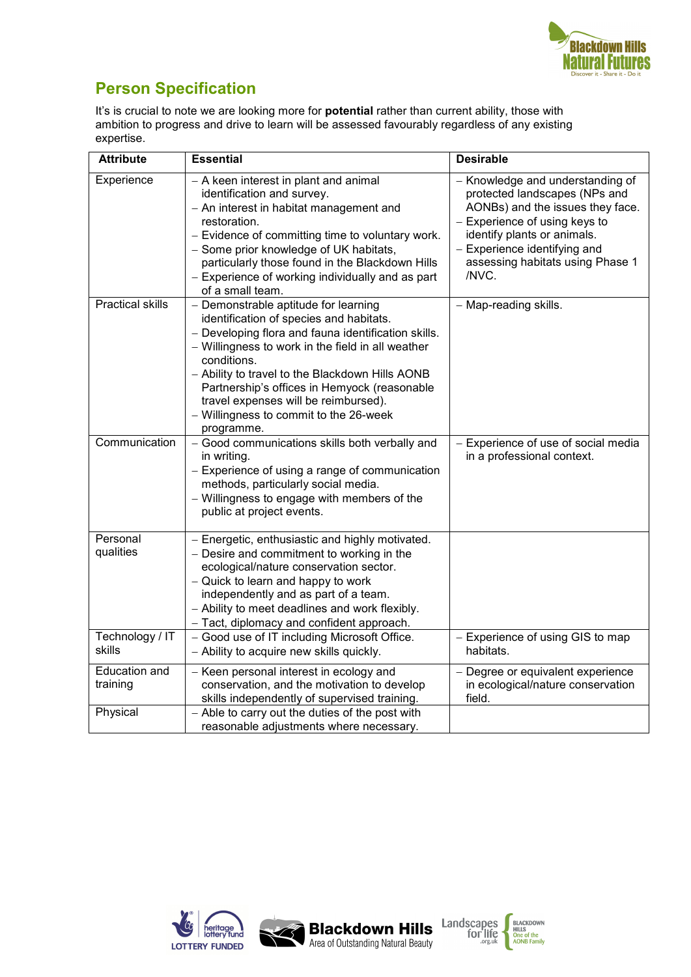

# **Person Specification**

It's is crucial to note we are looking more for **potential** rather than current ability, those with ambition to progress and drive to learn will be assessed favourably regardless of any existing expertise.

| <b>Attribute</b>          | <b>Essential</b>                                                                                                                                                                                                                                                                                                                                                                                              | <b>Desirable</b>                                                                                                                                                                                                                                   |
|---------------------------|---------------------------------------------------------------------------------------------------------------------------------------------------------------------------------------------------------------------------------------------------------------------------------------------------------------------------------------------------------------------------------------------------------------|----------------------------------------------------------------------------------------------------------------------------------------------------------------------------------------------------------------------------------------------------|
| Experience                | - A keen interest in plant and animal<br>identification and survey.<br>- An interest in habitat management and<br>restoration.<br>- Evidence of committing time to voluntary work.<br>- Some prior knowledge of UK habitats,<br>particularly those found in the Blackdown Hills<br>- Experience of working individually and as part<br>of a small team.                                                       | - Knowledge and understanding of<br>protected landscapes (NPs and<br>AONBs) and the issues they face.<br>- Experience of using keys to<br>identify plants or animals.<br>- Experience identifying and<br>assessing habitats using Phase 1<br>/NVC. |
| <b>Practical skills</b>   | - Demonstrable aptitude for learning<br>identification of species and habitats.<br>- Developing flora and fauna identification skills.<br>- Willingness to work in the field in all weather<br>conditions.<br>- Ability to travel to the Blackdown Hills AONB<br>Partnership's offices in Hemyock (reasonable<br>travel expenses will be reimbursed).<br>- Willingness to commit to the 26-week<br>programme. | - Map-reading skills.                                                                                                                                                                                                                              |
| Communication             | - Good communications skills both verbally and<br>in writing.<br>- Experience of using a range of communication<br>methods, particularly social media.<br>- Willingness to engage with members of the<br>public at project events.                                                                                                                                                                            | - Experience of use of social media<br>in a professional context.                                                                                                                                                                                  |
| Personal<br>qualities     | - Energetic, enthusiastic and highly motivated.<br>- Desire and commitment to working in the<br>ecological/nature conservation sector.<br>- Quick to learn and happy to work<br>independently and as part of a team.<br>- Ability to meet deadlines and work flexibly.<br>- Tact, diplomacy and confident approach.                                                                                           |                                                                                                                                                                                                                                                    |
| Technology / IT<br>skills | - Good use of IT including Microsoft Office.<br>- Ability to acquire new skills quickly.                                                                                                                                                                                                                                                                                                                      | - Experience of using GIS to map<br>habitats.                                                                                                                                                                                                      |
| Education and<br>training | - Keen personal interest in ecology and<br>conservation, and the motivation to develop<br>skills independently of supervised training.                                                                                                                                                                                                                                                                        | - Degree or equivalent experience<br>in ecological/nature conservation<br>field.                                                                                                                                                                   |
| Physical                  | - Able to carry out the duties of the post with<br>reasonable adjustments where necessary.                                                                                                                                                                                                                                                                                                                    |                                                                                                                                                                                                                                                    |